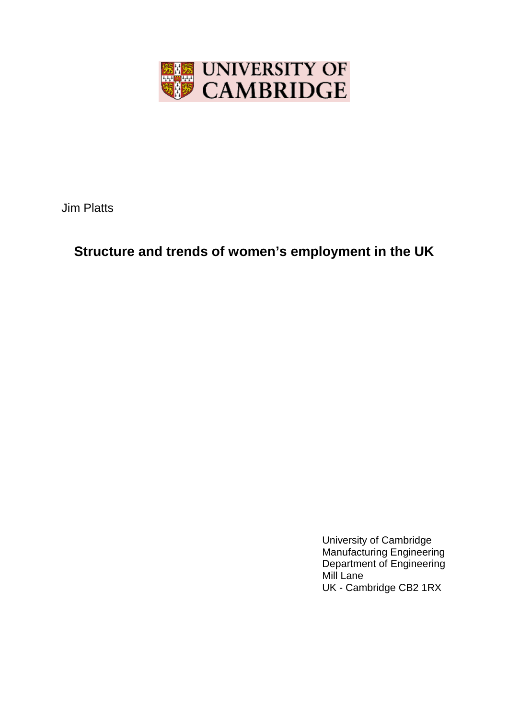

Jim Platts

# **Structure and trends of women's employment in the UK**

University of Cambridge Manufacturing Engineering Department of Engineering Mill Lane UK - Cambridge CB2 1RX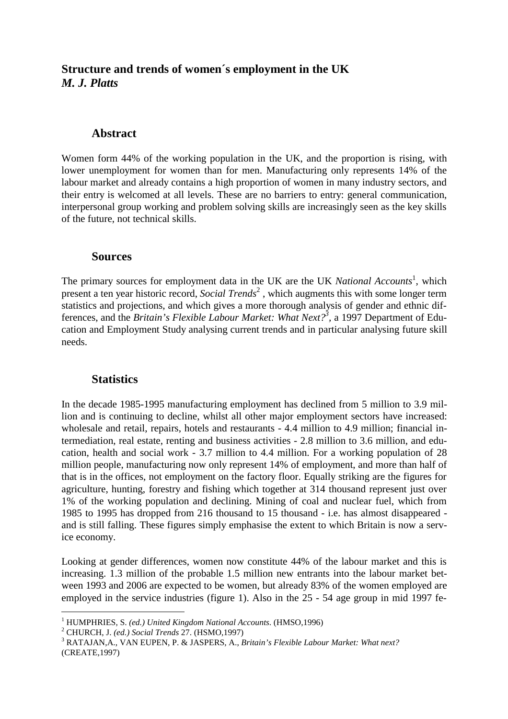# **Structure and trends of women´s employment in the UK** *M. J. Platts*

## **Abstract**

Women form 44% of the working population in the UK, and the proportion is rising, with lower unemployment for women than for men. Manufacturing only represents 14% of the labour market and already contains a high proportion of women in many industry sectors, and their entry is welcomed at all levels. These are no barriers to entry: general communication, interpersonal group working and problem solving skills are increasingly seen as the key skills of the future, not technical skills.

#### **Sources**

The primary sources for employment data in the UK are the UK *National Accounts*<sup>1</sup>, which present a ten year historic record, *Social Trends*<sup>2</sup>, which augments this with some longer term statistics and projections, and which gives a more thorough analysis of gender and ethnic differences, and the *Britain's Flexible Labour Market: What Next?*<sup>3</sup>, a 1997 Department of Education and Employment Study analysing current trends and in particular analysing future skill needs.

## **Statistics**

In the decade 1985-1995 manufacturing employment has declined from 5 million to 3.9 million and is continuing to decline, whilst all other major employment sectors have increased: wholesale and retail, repairs, hotels and restaurants - 4.4 million to 4.9 million; financial intermediation, real estate, renting and business activities - 2.8 million to 3.6 million, and education, health and social work - 3.7 million to 4.4 million. For a working population of 28 million people, manufacturing now only represent 14% of employment, and more than half of that is in the offices, not employment on the factory floor. Equally striking are the figures for agriculture, hunting, forestry and fishing which together at 314 thousand represent just over 1% of the working population and declining. Mining of coal and nuclear fuel, which from 1985 to 1995 has dropped from 216 thousand to 15 thousand - i.e. has almost disappeared and is still falling. These figures simply emphasise the extent to which Britain is now a service economy.

Looking at gender differences, women now constitute 44% of the labour market and this is increasing. 1.3 million of the probable 1.5 million new entrants into the labour market between 1993 and 2006 are expected to be women, but already 83% of the women employed are employed in the service industries (figure 1). Also in the 25 - 54 age group in mid 1997 fe-

-------------------------------------------

<sup>&</sup>lt;sup>1</sup> HUMPHRIES, S. *(ed.) United Kingdom National Accounts*. (HMSO,1996)<br><sup>2</sup> CHUPCH J. *(ed.) Social Trands* 27. (HSMO 1997)

CHURCH, J. *(ed.) Social Trends* 27. (HSMO,1997) <sup>3</sup>

RATAJAN,A., VAN EUPEN, P. & JASPERS, A., *Britain's Flexible Labour Market: What next?* (CREATE,1997)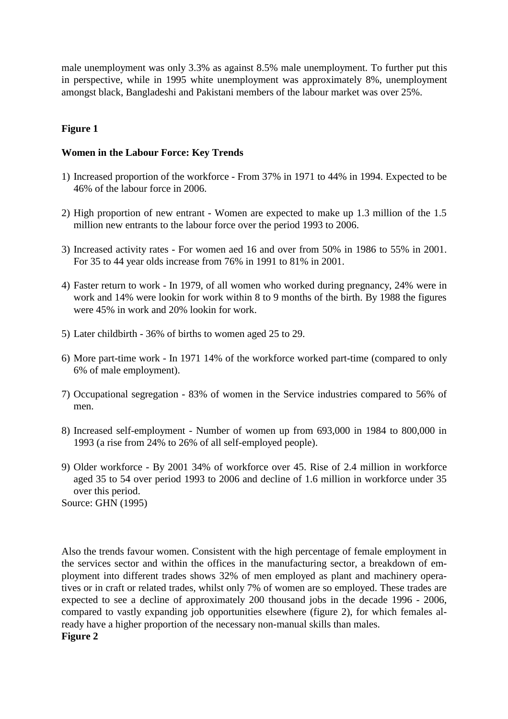male unemployment was only 3.3% as against 8.5% male unemployment. To further put this in perspective, while in 1995 white unemployment was approximately 8%, unemployment amongst black, Bangladeshi and Pakistani members of the labour market was over 25%.

## **Figure 1**

#### **Women in the Labour Force: Key Trends**

- 1) Increased proportion of the workforce From 37% in 1971 to 44% in 1994. Expected to be 46% of the labour force in 2006.
- 2) High proportion of new entrant Women are expected to make up 1.3 million of the 1.5 million new entrants to the labour force over the period 1993 to 2006.
- 3) Increased activity rates For women aed 16 and over from 50% in 1986 to 55% in 2001. For 35 to 44 year olds increase from 76% in 1991 to 81% in 2001.
- 4) Faster return to work In 1979, of all women who worked during pregnancy, 24% were in work and 14% were lookin for work within 8 to 9 months of the birth. By 1988 the figures were 45% in work and 20% lookin for work.
- 5) Later childbirth 36% of births to women aged 25 to 29.
- 6) More part-time work In 1971 14% of the workforce worked part-time (compared to only 6% of male employment).
- 7) Occupational segregation 83% of women in the Service industries compared to 56% of men.
- 8) Increased self-employment Number of women up from 693,000 in 1984 to 800,000 in 1993 (a rise from 24% to 26% of all self-employed people).
- 9) Older workforce By 2001 34% of workforce over 45. Rise of 2.4 million in workforce aged 35 to 54 over period 1993 to 2006 and decline of 1.6 million in workforce under 35 over this period. Source: GHN (1995)

Also the trends favour women. Consistent with the high percentage of female employment in the services sector and within the offices in the manufacturing sector, a breakdown of employment into different trades shows 32% of men employed as plant and machinery operatives or in craft or related trades, whilst only 7% of women are so employed. These trades are expected to see a decline of approximately 200 thousand jobs in the decade 1996 - 2006, compared to vastly expanding job opportunities elsewhere (figure 2), for which females already have a higher proportion of the necessary non-manual skills than males.

#### **Figure 2**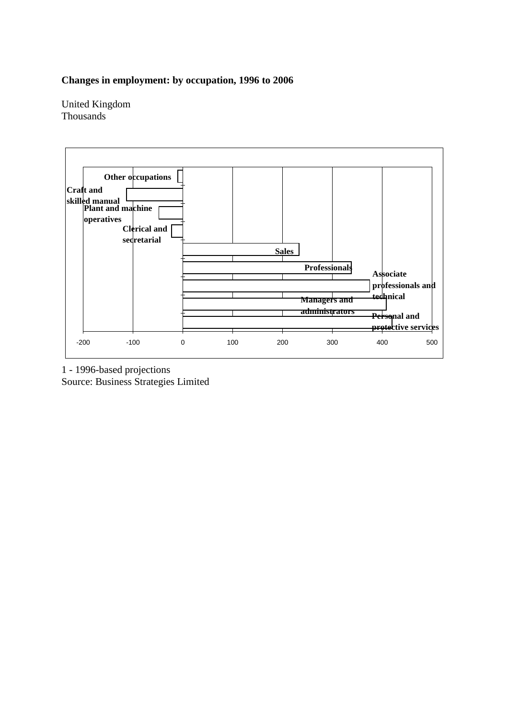## **Changes in employment: by occupation, 1996 to 2006**

United Kingdom Thousands



1 - 1996-based projections Source: Business Strategies Limited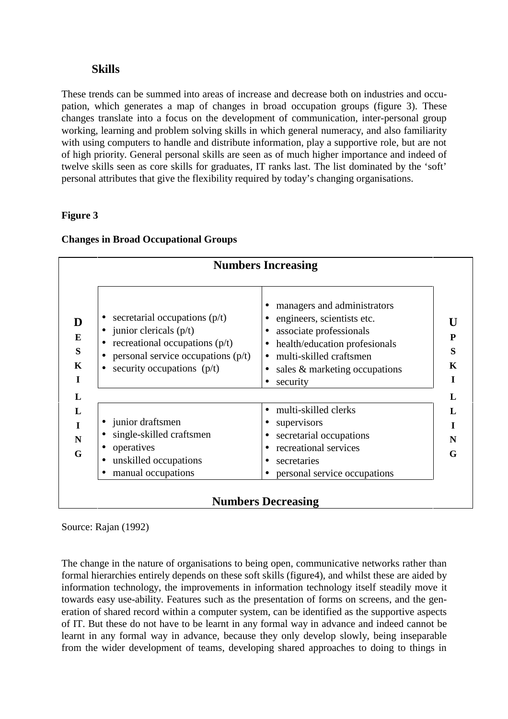## **Skills**

These trends can be summed into areas of increase and decrease both on industries and occupation, which generates a map of changes in broad occupation groups (figure 3). These changes translate into a focus on the development of communication, inter-personal group working, learning and problem solving skills in which general numeracy, and also familiarity with using computers to handle and distribute information, play a supportive role, but are not of high priority. General personal skills are seen as of much higher importance and indeed of twelve skills seen as core skills for graduates, IT ranks last. The list dominated by the 'soft' personal attributes that give the flexibility required by today's changing organisations.

## **Figure 3**

| secretarial occupations $(p/t)$<br>$\bullet$ junior clericals (p/t)<br>recreational occupations $(p/t)$<br>personal service occupations $(p/t)$<br>security occupations $(p/t)$ | managers and administrators<br>engineers, scientists etc.<br>associate professionals<br>$\bullet$<br>health/education profesionals<br>$\bullet$<br>• multi-skilled craftsmen<br>sales & marketing occupations<br>security<br>$\bullet$ |
|---------------------------------------------------------------------------------------------------------------------------------------------------------------------------------|----------------------------------------------------------------------------------------------------------------------------------------------------------------------------------------------------------------------------------------|
| • junior draftsmen<br>single-skilled craftsmen<br>operatives<br>unskilled occupations<br>manual occupations                                                                     | multi-skilled clerks<br>supervisors<br>$\bullet$<br>secretarial occupations<br>recreational services<br>secretaries<br>$\bullet$<br>personal service occupations                                                                       |

#### **Changes in Broad Occupational Groups**

# **Numbers Decreasing**

Source: Rajan (1992)

The change in the nature of organisations to being open, communicative networks rather than formal hierarchies entirely depends on these soft skills (figure4), and whilst these are aided by information technology, the improvements in information technology itself steadily move it towards easy use-ability. Features such as the presentation of forms on screens, and the generation of shared record within a computer system, can be identified as the supportive aspects of IT. But these do not have to be learnt in any formal way in advance and indeed cannot be learnt in any formal way in advance, because they only develop slowly, being inseparable from the wider development of teams, developing shared approaches to doing to things in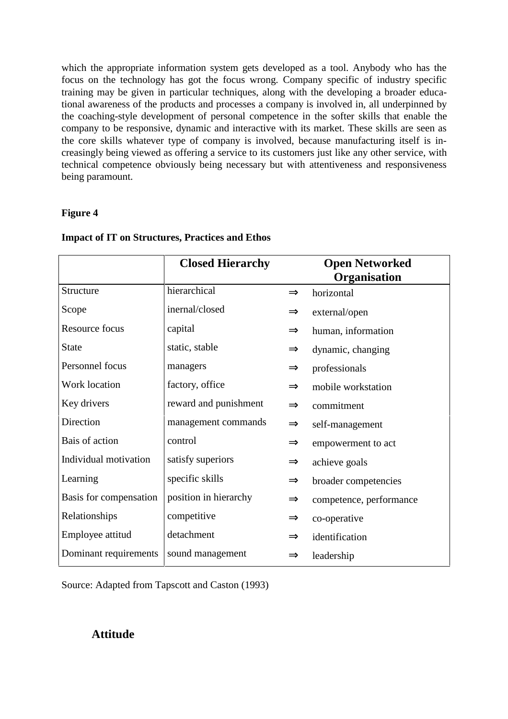which the appropriate information system gets developed as a tool. Anybody who has the focus on the technology has got the focus wrong. Company specific of industry specific training may be given in particular techniques, along with the developing a broader educational awareness of the products and processes a company is involved in, all underpinned by the coaching-style development of personal competence in the softer skills that enable the company to be responsive, dynamic and interactive with its market. These skills are seen as the core skills whatever type of company is involved, because manufacturing itself is increasingly being viewed as offering a service to its customers just like any other service, with technical competence obviously being necessary but with attentiveness and responsiveness being paramount.

## **Figure 4**

|                        | <b>Closed Hierarchy</b> |               | <b>Open Networked</b>   |
|------------------------|-------------------------|---------------|-------------------------|
|                        |                         |               | Organisation            |
| Structure              | hierarchical            | $\Rightarrow$ | horizontal              |
| Scope                  | inernal/closed          | $\Rightarrow$ | external/open           |
| Resource focus         | capital                 | $\Rightarrow$ | human, information      |
| <b>State</b>           | static, stable          | $\Rightarrow$ | dynamic, changing       |
| Personnel focus        | managers                | $\Rightarrow$ | professionals           |
| Work location          | factory, office         | $\Rightarrow$ | mobile workstation      |
| Key drivers            | reward and punishment   | $\Rightarrow$ | commitment              |
| Direction              | management commands     | $\Rightarrow$ | self-management         |
| Bais of action         | control                 | $\Rightarrow$ | empowerment to act      |
| Individual motivation  | satisfy superiors       | $\Rightarrow$ | achieve goals           |
| Learning               | specific skills         | $\Rightarrow$ | broader competencies    |
| Basis for compensation | position in hierarchy   | $\Rightarrow$ | competence, performance |
| Relationships          | competitive             | $\Rightarrow$ | co-operative            |
| Employee attitud       | detachment              | $\Rightarrow$ | identification          |
| Dominant requirements  | sound management        |               | leadership              |

#### **Impact of IT on Structures, Practices and Ethos**

Source: Adapted from Tapscott and Caston (1993)

# **Attitude**